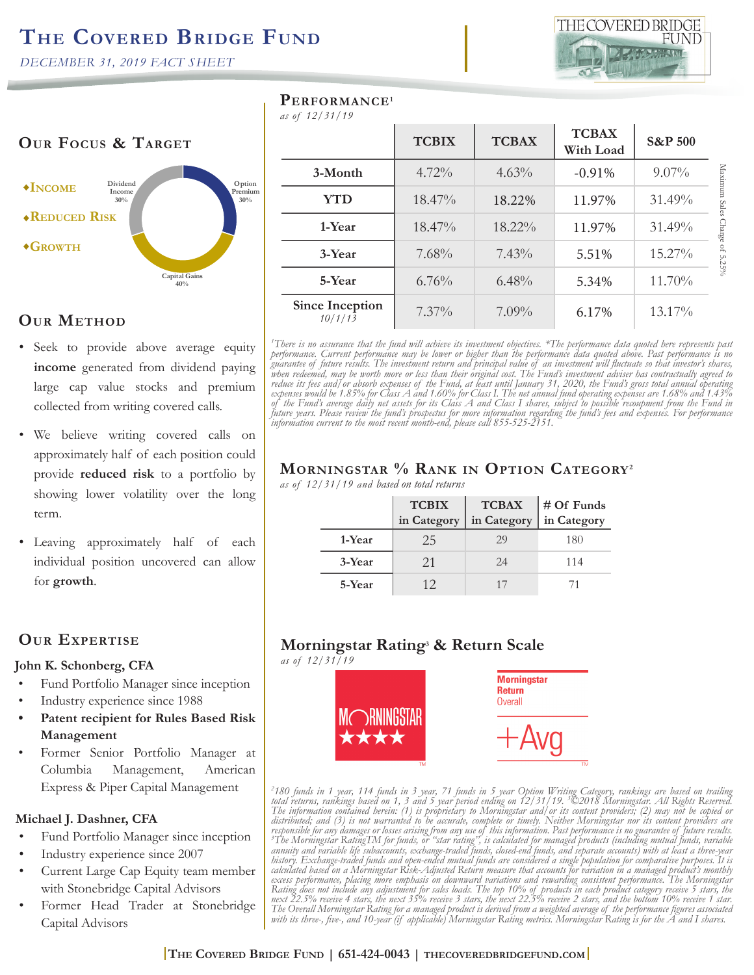*DECEMBER 31, 2019 FACT SHEET* 

#### **OUR FOCUS & TARGET Income Reduced Risk Growth Option Premium 30% Capital Gains 40% Dividend Income 30%**

## **Our Method**

- Seek to provide above average equity **income** generated from dividend paying large cap value stocks and premium collected from writing covered calls.
- We believe writing covered calls on approximately half of each position could provide **reduced risk** to a portfolio by showing lower volatility over the long term.
- Leaving approximately half of each individual position uncovered can allow for **growth**.

### **Our Expertise**

#### **John K. Schonberg, CFA**

- Fund Portfolio Manager since inception
- Industry experience since 1988
- **• Patent recipient for Rules Based Risk Management**
- Former Senior Portfolio Manager at Columbia Management, American Express & Piper Capital Management

### **Michael J. Dashner, CFA**

- Fund Portfolio Manager since inception
- Industry experience since 2007
- Current Large Cap Equity team member with Stonebridge Capital Advisors
- Former Head Trader at Stonebridge Capital Advisors

| PERFORMANCE <sup>1</sup> |  |
|--------------------------|--|
|--------------------------|--|

*as of 12/31/19*

| <b>TCBIX</b> | <b>TCBAX</b> | <b>TCBAX</b><br>With Load | <b>S&amp;P 500</b> |
|--------------|--------------|---------------------------|--------------------|
| 4.72%        | $4.63\%$     | $-0.91%$                  | $9.07\%$           |
| 18.47%       | 18.22%       | 11.97%                    | 31.49%             |
| 18.47%       | 18.22%       | 11.97%                    | 31.49%             |
| 7.68%        | $7.43\%$     | 5.51%                     | 15.27%             |
| 6.76%        | $6.48\%$     | 5.34%                     | 11.70%             |
| $7.37\%$     | $7.09\%$     | 6.17%                     | 13.17%             |
|              |              |                           |                    |

*1 There is no assurance that the fund will achieve its investment objectives. \*The performance data quoted here represents past performance. Current performance may be lower or higher than the performance data quoted above. Past performance is no guarantee of future results. The investment return and principal value of an investment will fluctuate so that investor's shares, when redeemed, may be worth more or less than their original cost. The Fund's investment adviser has contractually agreed to reduce its fees and/or absorb expenses of the Fund, at least until January 31, 2020, the Fund's gross total annual operating expenses would be 1.85% for Class A and 1.60% for Class I. The net annual fund operating expenses are 1.68% and 1.43% of the Fund's average daily net assets for its Class A and Class I shares, subject to possible recoupment from the Fund in future years. Please review the fund's prospectus for more information regarding the fund's fees and expenses. For performance information current to the most recent month-end, please call 855-525-2151.* 

# **Morningstar % Rank in Option Category2**

*as of 12/31/19 and based on total returns*

|        | <b>TCBIX</b><br>in Category | <b>TCBAX</b><br>in Category | $# Of Fundsin Category$ |
|--------|-----------------------------|-----------------------------|-------------------------|
| 1-Year | 25                          | 29                          | 180                     |
| 3-Year | 21                          | 24                          | 114                     |
| 5-Year | 12                          | 17                          |                         |

# **Morningstar Rating3 & Return Scale**

*as of 12/31/19*



<sup>2</sup>180 funds in 1 year, 114 funds in 3 year, 71 funds in 5 year Option Writing Category, rankings are based on trailing<br>total returns, rankings based on 1, 3 and 5 year period ending on 12/31/19. <sup>3</sup>©2018 Morningstar. All *distributed; and (3) is not warranted to be accurate, complete or timely. Neither Morningstar nor its content providers are*  responsible for any damages or losses arising from any use of this information. Past performance is no guarantee of future results.<br><sup>3</sup>The Morningstar RatingTM for funds, or "star rating", is calculated for managed product *annuity and variable life subaccounts, exchange-traded funds, closed-end funds, and separate accounts) with at least a three-year history. Exchange-traded funds and open-ended mutual funds are considered a single population for comparative purposes. It is calculated based on a Morningstar Risk-Adjusted Return measure that accounts for variation in a managed product's monthly excess performance, placing more emphasis on downward variations and rewarding consistent performance. The Morningstar*  Rating does not include any adjustment for sales loads. The top 10% of products in each product category receive 5 stars, the<br>next 22.5% receive 4 stars, the next 35% receive 3 stars, the next 22.5% receive 2 stars, and th *The Overall Morningstar Rating for a managed product is derived from a weighted average of the performance figures associated with its three-, five-, and 10-year (if applicable) Morningstar Rating metrics. Morningstar Rating is for the A and I shares.*